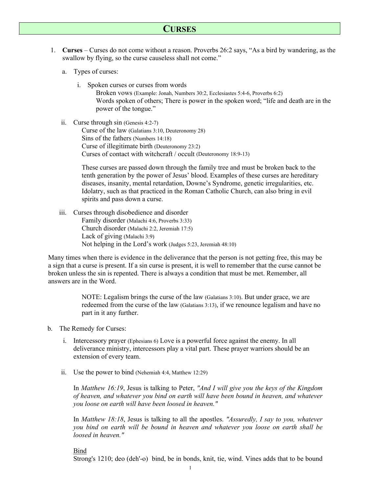# **CURSES**

- 1. **Curses** Curses do not come without a reason. Proverbs 26:2 says, "As a bird by wandering, as the swallow by flying, so the curse causeless shall not come."
	- a. Types of curses:
		- i. Spoken curses or curses from words Broken vows (Example: Jonah, Numbers 30:2, Ecclesiastes 5:4-6, Proverbs 6:2) Words spoken of others; There is power in the spoken word; "life and death are in the power of the tongue."
	- ii. Curse through sin (Genesis 4:2-7)

Curse of the law (Galatians 3:10, Deuteronomy 28) Sins of the fathers (Numbers 14:18) Curse of illegitimate birth (Deuteronomy 23:2) Curses of contact with witchcraft / occult (Deuteronomy 18:9-13)

These curses are passed down through the family tree and must be broken back to the tenth generation by the power of Jesus' blood. Examples of these curses are hereditary diseases, insanity, mental retardation, Downe's Syndrome, genetic irregularities, etc. Idolatry, such as that practiced in the Roman Catholic Church, can also bring in evil spirits and pass down a curse.

iii. Curses through disobedience and disorder Family disorder (Malachi 4:6, Proverbs 3:33) Church disorder (Malachi 2:2, Jeremiah 17:5) Lack of giving (Malachi 3:9) Not helping in the Lord's work (Judges 5:23, Jeremiah 48:10)

Many times when there is evidence in the deliverance that the person is not getting free, this may be a sign that a curse is present. If a sin curse is present, it is well to remember that the curse cannot be broken unless the sin is repented. There is always a condition that must be met. Remember, all answers are in the Word.

> NOTE: Legalism brings the curse of the law (Galatians 3:10). But under grace, we are redeemed from the curse of the law (Galatians 3:13), if we renounce legalism and have no part in it any further.

- b. The Remedy for Curses:
	- i. Intercessory prayer (Ephesians 6) Love is a powerful force against the enemy. In all deliverance ministry, intercessors play a vital part. These prayer warriors should be an extension of every team.
	- ii. Use the power to bind (Nehemiah 4:4, Matthew 12:29)

In *Matthew 16:19*, Jesus is talking to Peter, *"And I will give you the keys of the Kingdom of heaven, and whatever you bind on earth will have been bound in heaven, and whatever you loose on earth will have been loosed in heaven."* 

In *Matthew 18:18*, Jesus is talking to all the apostles. *"Assuredly, I say to you, whatever you bind on earth will be bound in heaven and whatever you loose on earth shall be loosed in heaven."* 

## Bind

Strong's 1210; deo (deh'-o) bind, be in bonds, knit, tie, wind. Vines adds that to be bound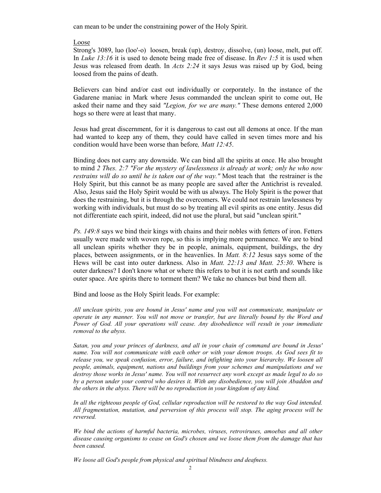can mean to be under the constraining power of the Holy Spirit.

## Loose

Strong's 3089, luo (loo'-o) loosen, break (up), destroy, dissolve, (un) loose, melt, put off. In *Luke 13:16* it is used to denote being made free of disease. In *Rev 1:5* it is used when Jesus was released from death. In *Acts 2:24* it says Jesus was raised up by God, being loosed from the pains of death.

Believers can bind and/or cast out individually or corporately. In the instance of the Gadarene maniac in Mark where Jesus commanded the unclean spirit to come out, He asked their name and they said *"Legion, for we are many."* These demons entered 2,000 hogs so there were at least that many.

Jesus had great discernment, for it is dangerous to cast out all demons at once. If the man had wanted to keep any of them, they could have called in seven times more and his condition would have been worse than before*, Matt 12:45*.

Binding does not carry any downside. We can bind all the spirits at once. He also brought to mind *2 Thes. 2:7 "For the mystery of lawlessness is already at work; only he who now restrains will do so until he is taken out of the way."* Most teach that the restrainer is the Holy Spirit, but this cannot be as many people are saved after the Antichrist is revealed. Also, Jesus said the Holy Spirit would be with us always. The Holy Spirit is the power that does the restraining, but it is through the overcomers. We could not restrain lawlessness by working with individuals, but must do so by treating all evil spirits as one entity. Jesus did not differentiate each spirit, indeed, did not use the plural, but said "unclean spirit."

*Ps. 149:8* says we bind their kings with chains and their nobles with fetters of iron. Fetters usually were made with woven rope, so this is implying more permanence. We are to bind all unclean spirits whether they be in people, animals, equipment, buildings, the dry places, between assignments, or in the heavenlies. In *Matt. 8:12* Jesus says some of the Hews will be cast into outer darkness. Also in *Matt. 22:13 and Matt. 25:30*. Where is outer darkness? I don't know what or where this refers to but it is not earth and sounds like outer space. Are spirits there to torment them? We take no chances but bind them all.

Bind and loose as the Holy Spirit leads. For example:

*All unclean spirits, you are bound in Jesus' name and you will not communicate, manipulate or operate in any manner. You will not move or transfer, but are literally bound by the Word and Power of God. All your operations will cease. Any disobedience will result in your immediate removal to the abyss.* 

*Satan, you and your princes of darkness, and all in your chain of command are bound in Jesus' name. You will not communicate with each other or with your demon troops. As God sees fit to release you, we speak confusion, error, failure, and infighting into your hierarchy. We loosen all people, animals, equipment, nations and buildings from your schemes and manipulations and we destroy those works in Jesus' name. You will not resurrect any work except as made legal to do so by a person under your control who desires it. With any disobedience, you will join Abaddon and the others in the abyss. There will be no reproduction in your kingdom of any kind.* 

*In all the righteous people of God, cellular reproduction will be restored to the way God intended. All fragmentation, mutation, and perversion of this process will stop. The aging process will be reversed.* 

*We bind the actions of harmful bacteria, microbes, viruses, retroviruses, amoebas and all other disease causing organisms to cease on God's chosen and we loose them from the damage that has been caused.* 

*We loose all God's people from physical and spiritual blindness and deafness.*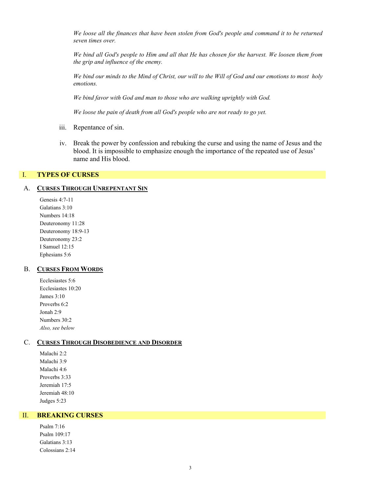*We loose all the finances that have been stolen from God's people and command it to be returned seven times over.* 

*We bind all God's people to Him and all that He has chosen for the harvest. We loosen them from the grip and influence of the enemy.* 

*We bind our minds to the Mind of Christ, our will to the Will of God and our emotions to most holy emotions.* 

*We bind favor with God and man to those who are walking uprightly with God.* 

*We loose the pain of death from all God's people who are not ready to go yet.*

- iii. Repentance of sin.
- iv. Break the power by confession and rebuking the curse and using the name of Jesus and the blood. It is impossible to emphasize enough the importance of the repeated use of Jesus' name and His blood.

### I. **TYPES OF CURSES**

## A. **CURSES THROUGH UNREPENTANT SIN**

Genesis 4:7-11 Galatians 3:10 Numbers 14:18 Deuteronomy 11:28 Deuteronomy 18:9-13 Deuteronomy 23:2 I Samuel 12:15 Ephesians 5:6

#### B. **CURSES FROM WORDS**

Ecclesiastes 5:6 Ecclesiastes 10:20 James 3:10 Proverbs 6:2 Jonah 2:9 Numbers 30:2 *Also, see below* 

#### C. **CURSES THROUGH DISOBEDIENCE AND DISORDER**

Malachi 2:2 Malachi 3:9 Malachi 4:6 Proverbs 3:33 Jeremiah 17:5 Jeremiah 48:10 Judges 5:23

### II. **BREAKING CURSES**

Psalm 7:16 Psalm 109:17 Galatians 3:13 Colossians 2:14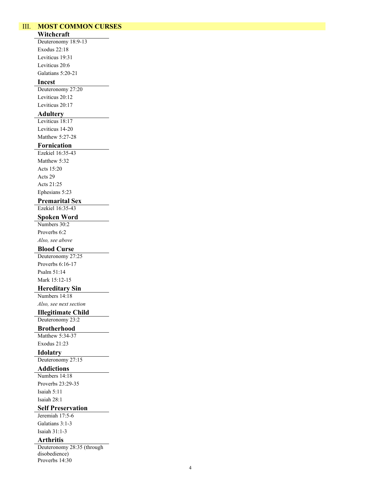## III. **MOST COMMON CURSES**

## **Witchcraft**

Deuteronomy 18:9-13 Exodus 22:18 Leviticus 19:31 Leviticus 20:6 Galatians 5:20-21

# **Incest**

Deuteronomy 27:20 Leviticus 20:12 Leviticus 20:17

## **Adultery**

Leviticus 18:17 Leviticus 14-20 Matthew 5:27-28

### **Fornication**

Ezekiel 16:35-43 Matthew 5:32 Acts 15:20 Acts 29 Acts 21:25 Ephesians 5:23

## **Premarital Sex**

Ezekiel 16:35-43

## **Spoken Word**

Numbers 30:2 Proverbs 6:2

*Also, see above* 

## **Blood Curse**

Deuteronomy 27:25 Proverbs 6:16-17 Psalm 51:14 Mark 15:12-15

# **Hereditary Sin**

Numbers 14:18 *Also, see next section* 

#### **Illegitimate Child**

Deuteronomy 23:2

## **Brotherhood**

Matthew 5:34-37 Exodus 21:23

## **Idolatry**

Deuteronomy 27:15

# **Addictions**

Numbers 14:18 Proverbs 23:29-35 Isaiah 5:11 Isaiah 28:1

### **Self Preservation**

Jeremiah 17:5-6 Galatians 3:1-3 Isaiah 31:1-3

#### **Arthritis**

Deuteronomy 28:35 (through disobedience) Proverbs 14:30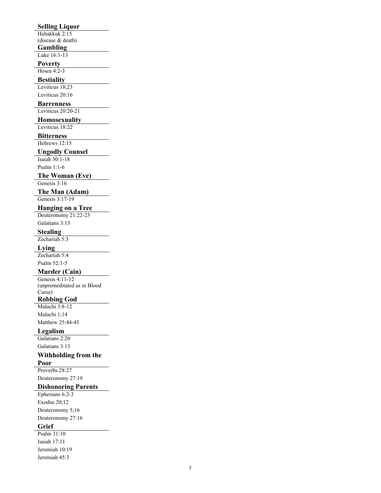## **Selling Liquor**

Habakkuk 2:15 (disease & death)

**Gambling** 

Luke 16:1-13

## **Poverty**

Hosea 4:2-3

#### **Bestiality**

Leviticus 18;23 Leviticus 20:16

#### **Barrenness**

Leviticus 20:20-21

# **Homosexuality**

Leviticus 18:22

#### **Bitterness**

Hebrews 12:15

### **Ungodly Counsel**

Isaiah 30:1-18 Psalm 1:1-6

# **The Woman (Eve)**

Genesis 3:16

## **The Man (Adam)**

Genesis 3:17-19

### **Hanging on a Tree**

Deuteronomy 21:22-23 Galatians 3:13

## **Stealing**

Zechariah 5:3

#### **Lying**

Zechariah 5:4 Psalm 52:1-5

# **Murder (Cain)**

Genesis 4:11-12 (unpremeditated as in Blood

#### Curse) **Robbing God**

Malachi 3:8-12

Malachi 1;14 Matthew 25:44-45

### **Legalism**

Galatians 2:20 Galatians 3:13

# **Withholding from the**

**Poor** 

Proverbs 28:27

# Deuteronomy 27:19

# **Dishonoring Parents**

Ephesians 6:2-3 Exodus 20;12 Deuteronomy 5;16 Deuteronomy 27:16

## **Grief**

Psalm 31:10 Isaiah 17:11 Jeremiah 10:19 Jeremiah 45:3